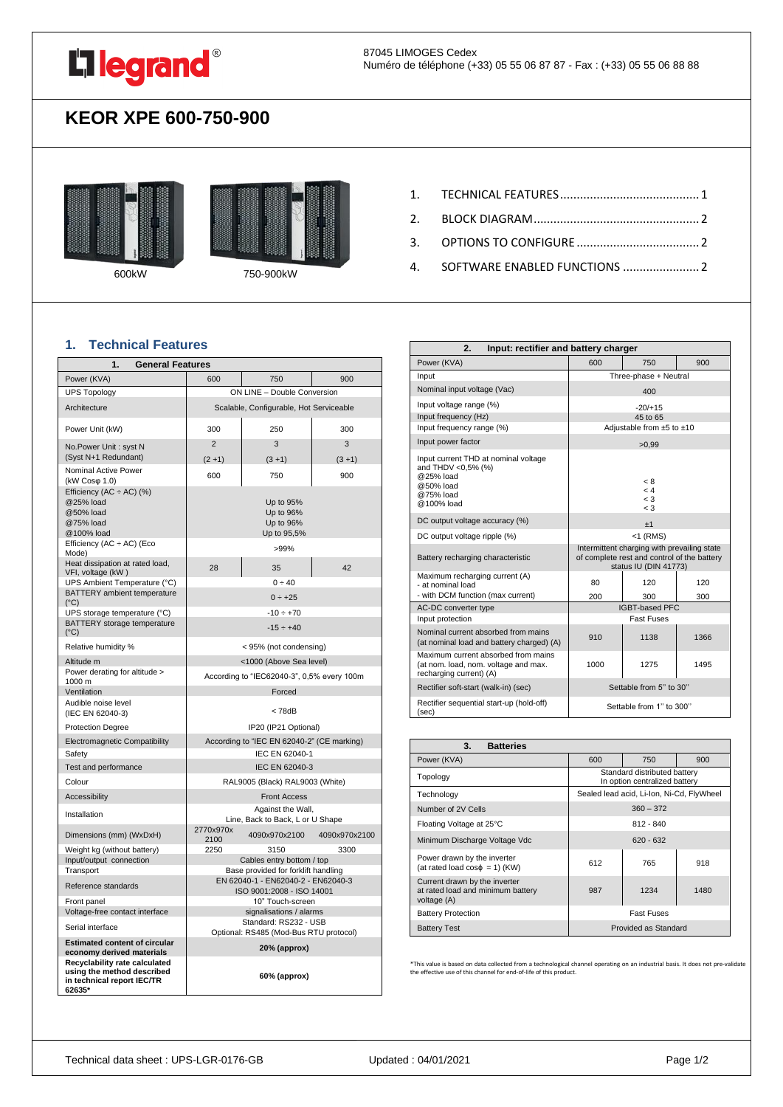

## **KEOR XPE 600-750-900**





600kW 750-900kW

- 2. [BLOCK DIAGRAM..................................................](#page-1-0) 2
- 3. [OPTIONS TO CONFIGURE](#page-1-1) ..................................... 2
- 4. [SOFTWARE ENABLED FUNCTIONS](#page-1-2) ....................... 2

## <span id="page-0-0"></span>**1. Technical Features**

| 1.<br><b>General Features</b>                                                                       |                                                                  |                                                       |               |
|-----------------------------------------------------------------------------------------------------|------------------------------------------------------------------|-------------------------------------------------------|---------------|
| Power (KVA)                                                                                         | 600                                                              | 750                                                   | 900           |
| <b>UPS Topology</b>                                                                                 |                                                                  | ON LINE - Double Conversion                           |               |
| Architecture                                                                                        |                                                                  | Scalable, Configurable, Hot Serviceable               |               |
| Power Unit (kW)                                                                                     | 300                                                              | 250                                                   | 300           |
| No.Power Unit: syst N                                                                               | $\overline{2}$                                                   | 3                                                     | 3             |
| (Syst N+1 Redundant)                                                                                | $(2+1)$                                                          | $(3 + 1)$                                             | $(3 + 1)$     |
| Nominal Active Power<br>(kW Cosφ 1.0)                                                               | 600                                                              | 750                                                   | 900           |
| Efficiency (AC $\div$ AC) (%)<br>@25% load<br>@50% load<br>@75% load<br>@100% load                  |                                                                  | Up to 95%<br>Up to 96%<br>Up to 96%<br>Up to 95,5%    |               |
| Efficiency (AC $\div$ AC) (Eco<br>Mode)                                                             |                                                                  | >99%                                                  |               |
| Heat dissipation at rated load,<br>VFI, voltage (kW)                                                | 28                                                               | 35                                                    | 42            |
| UPS Ambient Temperature (°C)                                                                        |                                                                  | 0 ÷ 40                                                |               |
| BATTERY ambient temperature<br>$(^{\circ}C)$                                                        |                                                                  | $0 \div +25$                                          |               |
| UPS storage temperature (°C)                                                                        |                                                                  | $-10 \div +70$                                        |               |
| BATTERY storage temperature<br>$(^{\circ}C)$                                                        |                                                                  | $-15 \div +40$                                        |               |
| Relative humidity %                                                                                 |                                                                  | < 95% (not condensing)                                |               |
| Altitude m                                                                                          |                                                                  | <1000 (Above Sea level)                               |               |
| Power derating for altitude ><br>1000 m                                                             |                                                                  | According to "IEC62040-3", 0,5% every 100m            |               |
| Ventilation                                                                                         |                                                                  | Forced                                                |               |
| Audible noise level<br>(IEC EN 62040-3)                                                             | < 78dB                                                           |                                                       |               |
| <b>Protection Degree</b>                                                                            |                                                                  | IP20 (IP21 Optional)                                  |               |
| Electromagnetic Compatibility                                                                       |                                                                  | According to "IEC EN 62040-2" (CE marking)            |               |
| Safety                                                                                              | IEC EN 62040-1                                                   |                                                       |               |
| Test and performance                                                                                | IEC EN 62040-3                                                   |                                                       |               |
| Colour                                                                                              |                                                                  | RAL9005 (Black) RAL9003 (White)                       |               |
| Accessibility                                                                                       |                                                                  | <b>Front Access</b>                                   |               |
| Installation                                                                                        |                                                                  | Against the Wall,<br>Line, Back to Back, L or U Shape |               |
| Dimensions (mm) (WxDxH)                                                                             | 2770x970x<br>2100                                                | 4090x970x2100                                         | 4090x970x2100 |
| Weight kg (without battery)                                                                         | 2250                                                             | 3150                                                  | 3300          |
| Input/output connection<br>Transport                                                                | Cables entry bottom / top<br>Base provided for forklift handling |                                                       |               |
| Reference standards                                                                                 | EN 62040-1 - EN62040-2 - EN62040-3<br>ISO 9001:2008 - ISO 14001  |                                                       |               |
| Front panel                                                                                         |                                                                  | 10" Touch-screen                                      |               |
| Voltage-free contact interface                                                                      |                                                                  | signalisations / alarms                               |               |
| Serial interface                                                                                    | Standard: RS232 - USB<br>Optional: RS485 (Mod-Bus RTU protocol)  |                                                       |               |
| <b>Estimated content of circular</b><br>economy derived materials                                   |                                                                  | 20% (approx)                                          |               |
| Recyclability rate calculated<br>using the method described<br>in technical report IEC/TR<br>62635* |                                                                  | 60% (approx)                                          |               |

| 2.<br>Input: rectifier and battery charger                                                                      |                                                                                                                     |                                    |      |
|-----------------------------------------------------------------------------------------------------------------|---------------------------------------------------------------------------------------------------------------------|------------------------------------|------|
| Power (KVA)                                                                                                     | 600                                                                                                                 | 750                                | 900  |
| Input                                                                                                           |                                                                                                                     | Three-phase + Neutral              |      |
| Nominal input voltage (Vac)                                                                                     |                                                                                                                     | 400                                |      |
| Input voltage range (%)                                                                                         |                                                                                                                     | $-20/+15$                          |      |
| Input frequency (Hz)                                                                                            | 45 to 65                                                                                                            |                                    |      |
| Input frequency range (%)                                                                                       |                                                                                                                     | Adjustable from $±5$ to $±10$      |      |
| Input power factor                                                                                              |                                                                                                                     | >0.99                              |      |
| Input current THD at nominal voltage<br>and THDV <0,5% (%)<br>@25% load<br>@50% load<br>@75% load<br>@100% load |                                                                                                                     | < 8<br>< 4<br>$\leq 3$<br>$\leq 3$ |      |
| DC output voltage accuracy (%)                                                                                  | ±1                                                                                                                  |                                    |      |
| DC output voltage ripple (%)                                                                                    | $<$ 1 (RMS)                                                                                                         |                                    |      |
| Battery recharging characteristic                                                                               | Intermittent charging with prevailing state<br>of complete rest and control of the battery<br>status IU (DIN 41773) |                                    |      |
| Maximum recharging current (A)<br>- at nominal load                                                             | 80                                                                                                                  | 120                                | 120  |
| - with DCM function (max current)                                                                               | 200                                                                                                                 | 300                                | 300  |
| AC-DC converter type                                                                                            |                                                                                                                     | <b>IGBT-based PFC</b>              |      |
| Input protection                                                                                                |                                                                                                                     | <b>Fast Fuses</b>                  |      |
| Nominal current absorbed from mains<br>(at nominal load and battery charged) (A)                                | 910                                                                                                                 | 1138                               | 1366 |
| Maximum current absorbed from mains<br>(at nom. load, nom. voltage and max.<br>recharging current) (A)          | 1000                                                                                                                | 1275                               | 1495 |
| Rectifier soft-start (walk-in) (sec)                                                                            |                                                                                                                     | Settable from 5" to 30"            |      |
| Rectifier sequential start-up (hold-off)<br>(sec)                                                               |                                                                                                                     | Settable from 1" to 300"           |      |

| 3.<br><b>Batteries</b>                                                            |                                                               |                                           |      |
|-----------------------------------------------------------------------------------|---------------------------------------------------------------|-------------------------------------------|------|
| Power (KVA)                                                                       | 600                                                           | 750                                       | 900  |
| Topology                                                                          | Standard distributed battery<br>In option centralized battery |                                           |      |
| Technology                                                                        |                                                               | Sealed lead acid, Li-Ion, Ni-Cd, FlyWheel |      |
| Number of 2V Cells                                                                | $360 - 372$                                                   |                                           |      |
| Floating Voltage at 25°C                                                          | $812 - 840$                                                   |                                           |      |
| Minimum Discharge Voltage Vdc                                                     | $620 - 632$                                                   |                                           |      |
| Power drawn by the inverter<br>(at rated load $cos\phi = 1$ ) (KW)                | 612                                                           | 765                                       | 918  |
| Current drawn by the inverter<br>at rated load and minimum battery<br>voltage (A) | 987                                                           | 1234                                      | 1480 |
| <b>Battery Protection</b>                                                         | <b>Fast Fuses</b>                                             |                                           |      |
| <b>Battery Test</b>                                                               |                                                               | Provided as Standard                      |      |

\*This value is based on data collected from a technological channel operating on an industrial basis. It does not pre-validate the effective use of this channel for end-of-life of this product.